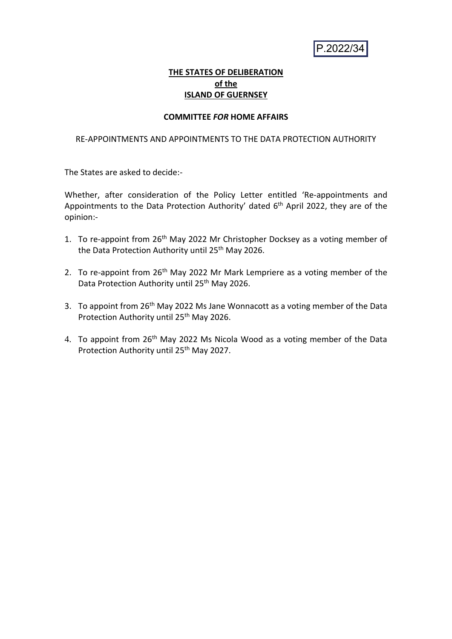P.2022/34

# **THE STATES OF DELIBERATION of the ISLAND OF GUERNSEY**

# **COMMITTEE** *FOR* **HOME AFFAIRS**

# RE-APPOINTMENTS AND APPOINTMENTS TO THE DATA PROTECTION AUTHORITY

The States are asked to decide:-

Whether, after consideration of the Policy Letter entitled 'Re-appointments and Appointments to the Data Protection Authority' dated 6<sup>th</sup> April 2022, they are of the opinion:-

- 1. To re-appoint from 26<sup>th</sup> May 2022 Mr Christopher Docksey as a voting member of the Data Protection Authority until 25<sup>th</sup> May 2026.
- 2. To re-appoint from  $26<sup>th</sup>$  May 2022 Mr Mark Lempriere as a voting member of the Data Protection Authority until 25<sup>th</sup> May 2026.
- 3. To appoint from 26<sup>th</sup> May 2022 Ms Jane Wonnacott as a voting member of the Data Protection Authority until 25<sup>th</sup> May 2026.
- 4. To appoint from 26<sup>th</sup> May 2022 Ms Nicola Wood as a voting member of the Data Protection Authority until 25<sup>th</sup> May 2027.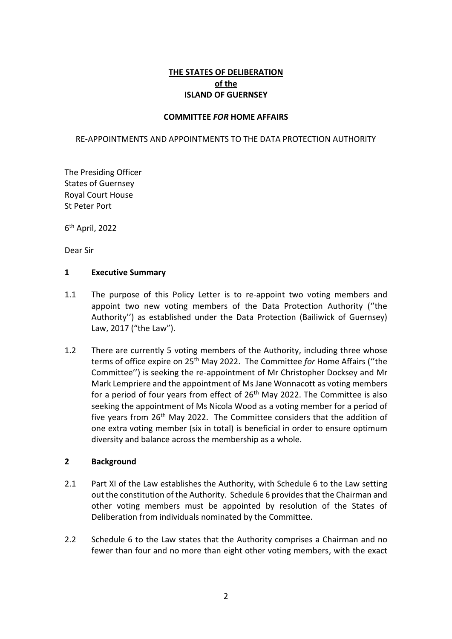# **THE STATES OF DELIBERATION of the ISLAND OF GUERNSEY**

# **COMMITTEE** *FOR* **HOME AFFAIRS**

### RE-APPOINTMENTS AND APPOINTMENTS TO THE DATA PROTECTION AUTHORITY

The Presiding Officer States of Guernsey Royal Court House St Peter Port

6 th April, 2022

Dear Sir

#### **1 Executive Summary**

- 1.1 The purpose of this Policy Letter is to re-appoint two voting members and appoint two new voting members of the Data Protection Authority (''the Authority'') as established under the Data Protection (Bailiwick of Guernsey) Law, 2017 ("the Law").
- 1.2 There are currently 5 voting members of the Authority, including three whose terms of office expire on 25th May 2022. The Committee *for* Home Affairs (''the Committee'') is seeking the re-appointment of Mr Christopher Docksey and Mr Mark Lempriere and the appointment of Ms Jane Wonnacott as voting members for a period of four years from effect of  $26<sup>th</sup>$  May 2022. The Committee is also seeking the appointment of Ms Nicola Wood as a voting member for a period of five years from 26<sup>th</sup> May 2022. The Committee considers that the addition of one extra voting member (six in total) is beneficial in order to ensure optimum diversity and balance across the membership as a whole.

# **2 Background**

- 2.1 Part XI of the Law establishes the Authority, with Schedule 6 to the Law setting out the constitution of the Authority. Schedule 6 provides that the Chairman and other voting members must be appointed by resolution of the States of Deliberation from individuals nominated by the Committee.
- 2.2 Schedule 6 to the Law states that the Authority comprises a Chairman and no fewer than four and no more than eight other voting members, with the exact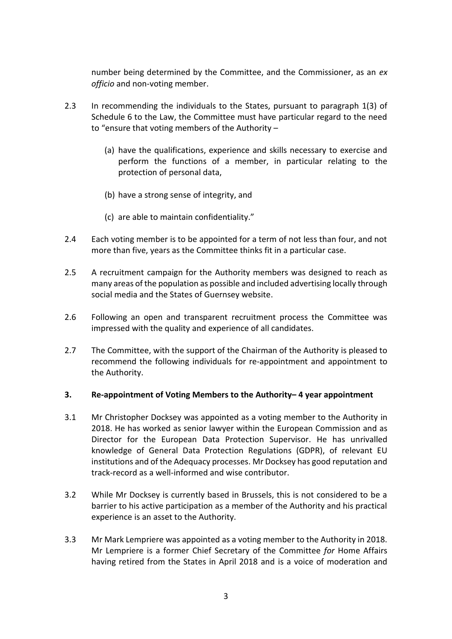number being determined by the Committee, and the Commissioner, as an *ex officio* and non-voting member.

- 2.3 In recommending the individuals to the States, pursuant to paragraph 1(3) of Schedule 6 to the Law, the Committee must have particular regard to the need to "ensure that voting members of the Authority –
	- (a) have the qualifications, experience and skills necessary to exercise and perform the functions of a member, in particular relating to the protection of personal data,
	- (b) have a strong sense of integrity, and
	- (c) are able to maintain confidentiality."
- 2.4 Each voting member is to be appointed for a term of not less than four, and not more than five, years as the Committee thinks fit in a particular case.
- 2.5 A recruitment campaign for the Authority members was designed to reach as many areas of the population as possible and included advertising locally through social media and the States of Guernsey website.
- 2.6 Following an open and transparent recruitment process the Committee was impressed with the quality and experience of all candidates.
- 2.7 The Committee, with the support of the Chairman of the Authority is pleased to recommend the following individuals for re-appointment and appointment to the Authority.

# **3. Re-appointment of Voting Members to the Authority– 4 year appointment**

- 3.1 Mr Christopher Docksey was appointed as a voting member to the Authority in 2018. He has worked as senior lawyer within the European Commission and as Director for the European Data Protection Supervisor. He has unrivalled knowledge of General Data Protection Regulations (GDPR), of relevant EU institutions and of the Adequacy processes. Mr Docksey has good reputation and track-record as a well-informed and wise contributor.
- 3.2 While Mr Docksey is currently based in Brussels, this is not considered to be a barrier to his active participation as a member of the Authority and his practical experience is an asset to the Authority.
- 3.3 Mr Mark Lempriere was appointed as a voting member to the Authority in 2018. Mr Lempriere is a former Chief Secretary of the Committee *for* Home Affairs having retired from the States in April 2018 and is a voice of moderation and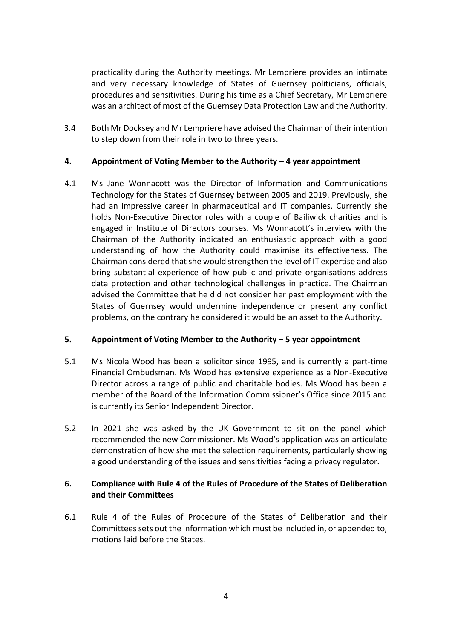practicality during the Authority meetings. Mr Lempriere provides an intimate and very necessary knowledge of States of Guernsey politicians, officials, procedures and sensitivities. During his time as a Chief Secretary, Mr Lempriere was an architect of most of the Guernsey Data Protection Law and the Authority.

3.4 Both Mr Docksey and Mr Lempriere have advised the Chairman of their intention to step down from their role in two to three years.

# **4. Appointment of Voting Member to the Authority – 4 year appointment**

4.1 Ms Jane Wonnacott was the Director of Information and Communications Technology for the States of Guernsey between 2005 and 2019. Previously, she had an impressive career in pharmaceutical and IT companies. Currently she holds Non-Executive Director roles with a couple of Bailiwick charities and is engaged in Institute of Directors courses. Ms Wonnacott's interview with the Chairman of the Authority indicated an enthusiastic approach with a good understanding of how the Authority could maximise its effectiveness. The Chairman considered that she would strengthen the level of IT expertise and also bring substantial experience of how public and private organisations address data protection and other technological challenges in practice. The Chairman advised the Committee that he did not consider her past employment with the States of Guernsey would undermine independence or present any conflict problems, on the contrary he considered it would be an asset to the Authority.

# **5. Appointment of Voting Member to the Authority – 5 year appointment**

- 5.1 Ms Nicola Wood has been a solicitor since 1995, and is currently a part-time Financial Ombudsman. Ms Wood has extensive experience as a Non-Executive Director across a range of public and charitable bodies. Ms Wood has been a member of the Board of the Information Commissioner's Office since 2015 and is currently its Senior Independent Director.
- 5.2 In 2021 she was asked by the UK Government to sit on the panel which recommended the new Commissioner. Ms Wood's application was an articulate demonstration of how she met the selection requirements, particularly showing a good understanding of the issues and sensitivities facing a privacy regulator.

# **6. Compliance with Rule 4 of the Rules of Procedure of the States of Deliberation and their Committees**

6.1 Rule 4 of the Rules of Procedure of the States of Deliberation and their Committees sets out the information which must be included in, or appended to, motions laid before the States.